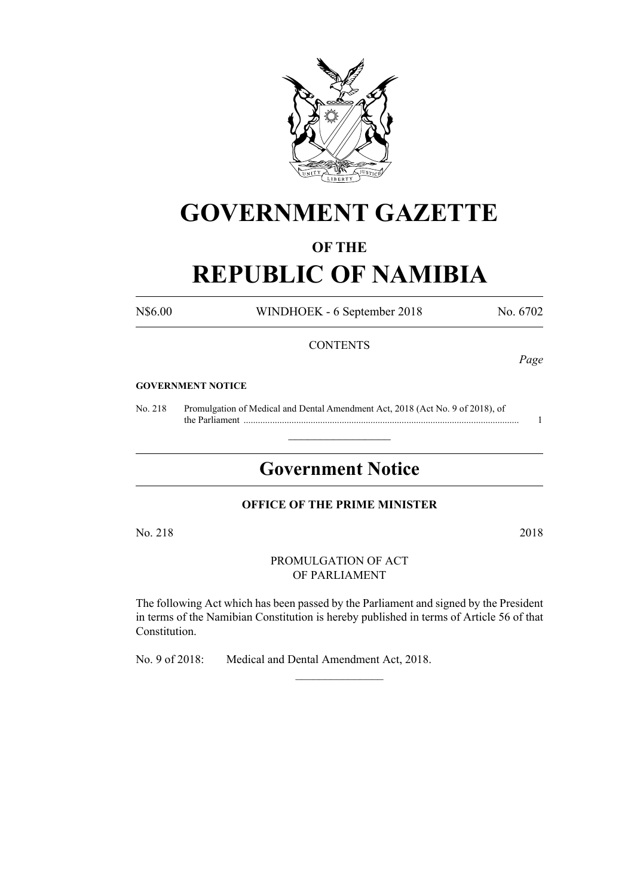

# **GOVERNMENT GAZETTE**

### **OF THE**

# **REPUBLIC OF NAMIBIA**

N\$6.00 WINDHOEK - 6 September 2018 No. 6702

#### **CONTENTS**

*Page*

#### **GOVERNMENT NOTICE**

No. 218 Promulgation of Medical and Dental Amendment Act, 2018 (Act No. 9 of 2018), of the Parliament ................................................................................................................... 1

## **Government Notice**

 $\frac{1}{2}$  ,  $\frac{1}{2}$  ,  $\frac{1}{2}$  ,  $\frac{1}{2}$  ,  $\frac{1}{2}$  ,  $\frac{1}{2}$  ,  $\frac{1}{2}$ 

#### **OFFICE OF THE PRIME MINISTER**

No. 218 2018

PROMULGATION OF ACT OF PARLIAMENT

The following Act which has been passed by the Parliament and signed by the President in terms of the Namibian Constitution is hereby published in terms of Article 56 of that Constitution.

 $\frac{1}{2}$ 

No. 9 of 2018: Medical and Dental Amendment Act, 2018.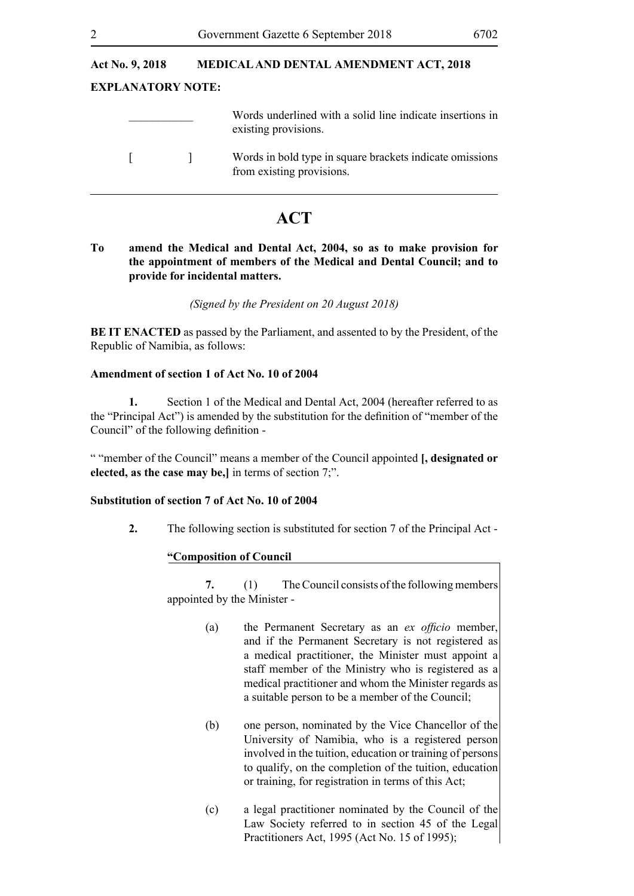## **Act No. 9, 2018 MEDICAL AND DENTAL AMENDMENT ACT, 2018 EXPLANATORY NOTE:** \_\_\_\_\_\_\_\_\_\_\_ Words underlined with a solid line indicate insertions in existing provisions. [ ] Words in bold type in square brackets indicate omissions from existing provisions.

### **ACT**

#### **To amend the Medical and Dental Act, 2004, so as to make provision for the appointment of members of the Medical and Dental Council; and to provide for incidental matters.**

*(Signed by the President on 20 August 2018)* 

**BE IT ENACTED** as passed by the Parliament, and assented to by the President, of the Republic of Namibia, as follows:

#### **Amendment of section 1 of Act No. 10 of 2004**

**1.** Section 1 of the Medical and Dental Act, 2004 (hereafter referred to as the "Principal Act") is amended by the substitution for the definition of "member of the Council" of the following definition -

" "member of the Council" means a member of the Council appointed **[, designated or elected, as the case may be,]** in terms of section 7;".

#### **Substitution of section 7 of Act No. 10 of 2004**

**2.** The following section is substituted for section 7 of the Principal Act -

#### **"Composition of Council**

**7.** (1) The Council consists of the following members appointed by the Minister -

- (a) the Permanent Secretary as an *ex officio* member, and if the Permanent Secretary is not registered as a medical practitioner, the Minister must appoint a staff member of the Ministry who is registered as a medical practitioner and whom the Minister regards as a suitable person to be a member of the Council;
- (b) one person, nominated by the Vice Chancellor of the University of Namibia, who is a registered person involved in the tuition, education or training of persons to qualify, on the completion of the tuition, education or training, for registration in terms of this Act;
- (c) a legal practitioner nominated by the Council of the Law Society referred to in section 45 of the Legal Practitioners Act, 1995 (Act No. 15 of 1995);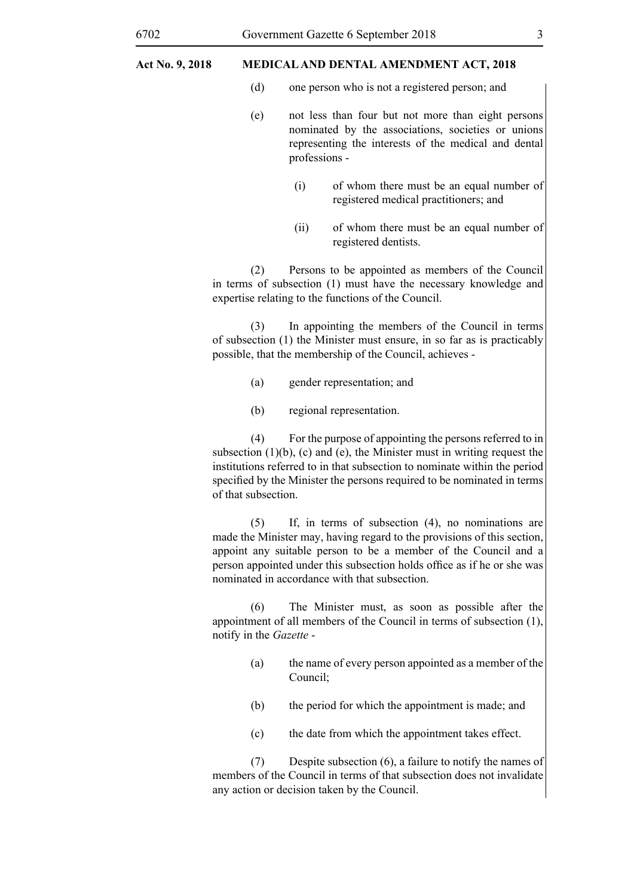#### 6702 Government Gazette 6 September 2018 3

#### **Act No. 9, 2018 MEDICAL AND DENTAL AMENDMENT ACT, 2018**

- (d) one person who is not a registered person; and
- (e) not less than four but not more than eight persons nominated by the associations, societies or unions representing the interests of the medical and dental professions -
	- (i) of whom there must be an equal number of registered medical practitioners; and
	- (ii) of whom there must be an equal number of registered dentists.

(2) Persons to be appointed as members of the Council in terms of subsection (1) must have the necessary knowledge and expertise relating to the functions of the Council.

(3) In appointing the members of the Council in terms of subsection (1) the Minister must ensure, in so far as is practicably possible, that the membership of the Council, achieves -

- (a) gender representation; and
- (b) regional representation.

(4) For the purpose of appointing the persons referred to in subsection (1)(b), (c) and (e), the Minister must in writing request the institutions referred to in that subsection to nominate within the period specified by the Minister the persons required to be nominated in terms of that subsection.

(5) If, in terms of subsection (4), no nominations are made the Minister may, having regard to the provisions of this section, appoint any suitable person to be a member of the Council and a person appointed under this subsection holds office as if he or she was nominated in accordance with that subsection.

(6) The Minister must, as soon as possible after the appointment of all members of the Council in terms of subsection (1), notify in the *Gazette* -

- (a) the name of every person appointed as a member of the Council;
- (b) the period for which the appointment is made; and
- (c) the date from which the appointment takes effect.

(7) Despite subsection (6), a failure to notify the names of members of the Council in terms of that subsection does not invalidate any action or decision taken by the Council.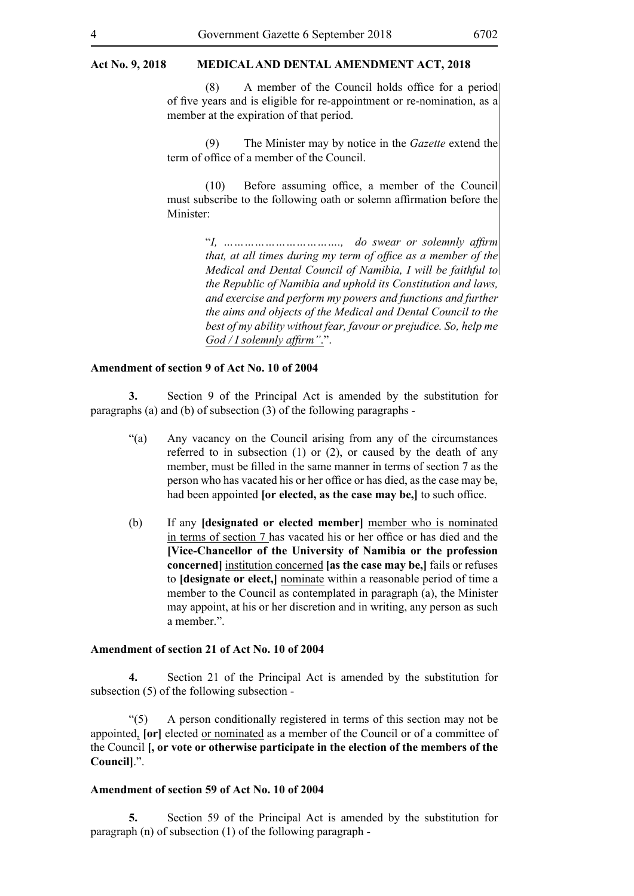#### **Act No. 9, 2018 MEDICAL AND DENTAL AMENDMENT ACT, 2018**

(8) A member of the Council holds office for a period of five years and is eligible for re-appointment or re-nomination, as a member at the expiration of that period.

(9) The Minister may by notice in the *Gazette* extend the term of office of a member of the Council.

(10) Before assuming office, a member of the Council must subscribe to the following oath or solemn affirmation before the Minister:

> "*I, ……………………………., do swear or solemnly affirm that, at all times during my term of office as a member of the Medical and Dental Council of Namibia, I will be faithful to the Republic of Namibia and uphold its Constitution and laws, and exercise and perform my powers and functions and further the aims and objects of the Medical and Dental Council to the best of my ability without fear, favour or prejudice. So, help me God / I solemnly affirm"*.".

#### **Amendment of section 9 of Act No. 10 of 2004**

**3.** Section 9 of the Principal Act is amended by the substitution for paragraphs (a) and (b) of subsection (3) of the following paragraphs -

- "(a) Any vacancy on the Council arising from any of the circumstances referred to in subsection (1) or (2), or caused by the death of any member, must be filled in the same manner in terms of section 7 as the person who has vacated his or her office or has died, as the case may be, had been appointed **[or elected, as the case may be,]** to such office.
- (b) If any **[designated or elected member]** member who is nominated in terms of section 7 has vacated his or her office or has died and the **[Vice-Chancellor of the University of Namibia or the profession concerned]** institution concerned **[as the case may be,]** fails or refuses to **[designate or elect,]** nominate within a reasonable period of time a member to the Council as contemplated in paragraph (a), the Minister may appoint, at his or her discretion and in writing, any person as such a member.".

#### **Amendment of section 21 of Act No. 10 of 2004**

**4.** Section 21 of the Principal Act is amended by the substitution for subsection (5) of the following subsection -

"(5) A person conditionally registered in terms of this section may not be appointed, **[or]** elected or nominated as a member of the Council or of a committee of the Council **[, or vote or otherwise participate in the election of the members of the Council]**.".

#### **Amendment of section 59 of Act No. 10 of 2004**

**5.** Section 59 of the Principal Act is amended by the substitution for paragraph (n) of subsection (1) of the following paragraph -